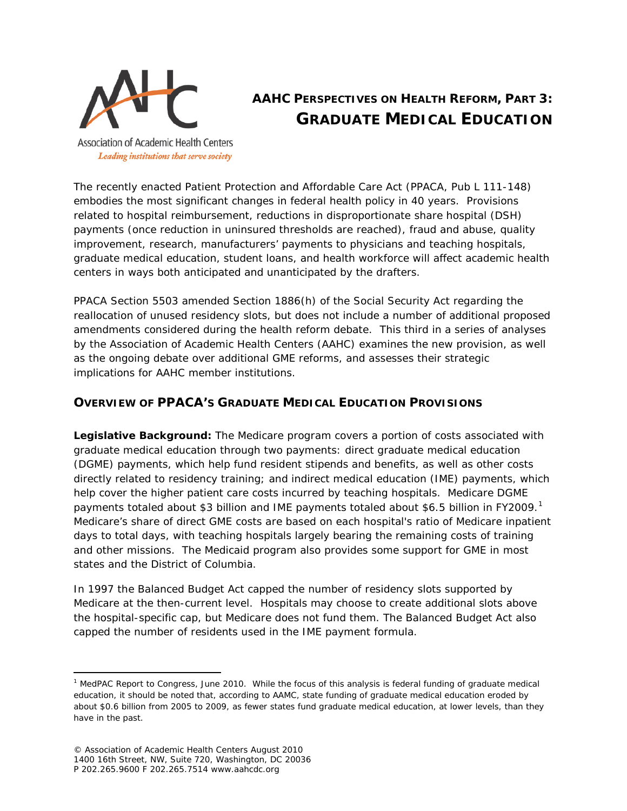

# **AAHC PERSPECTIVES ON HEALTH REFORM, PART 3: GRADUATE MEDICAL EDUCATION**

**Association of Academic Health Centers** Leading institutions that serve society

The recently enacted Patient Protection and Affordable Care Act (PPACA, Pub L 111-148) embodies the most significant changes in federal health policy in 40 years. Provisions related to hospital reimbursement, reductions in disproportionate share hospital (DSH) payments (once reduction in uninsured thresholds are reached), fraud and abuse, quality improvement, research, manufacturers' payments to physicians and teaching hospitals, graduate medical education, student loans, and health workforce will affect academic health centers in ways both anticipated and unanticipated by the drafters.

PPACA Section 5503 amended Section 1886(h) of the Social Security Act regarding the reallocation of unused residency slots, but does not include a number of additional proposed amendments considered during the health reform debate. This third in a series of analyses by the Association of Academic Health Centers (AAHC) examines the new provision, as well as the ongoing debate over additional GME reforms, and assesses their strategic implications for AAHC member institutions.

# **OVERVIEW OF PPACA'S GRADUATE MEDICAL EDUCATION PROVISIONS**

*Legislative Background***:** The Medicare program covers a portion of costs associated with graduate medical education through two payments: direct graduate medical education (DGME) payments, which help fund resident stipends and benefits, as well as other costs directly related to residency training; and indirect medical education (IME) payments, which help cover the higher patient care costs incurred by teaching hospitals. Medicare DGME payments totaled about \$3 billion and IME payments totaled about \$6.5 billion in FY2009.<sup>[1](#page-0-0)</sup> Medicare's share of direct GME costs are based on each hospital's ratio of Medicare inpatient days to total days, with teaching hospitals largely bearing the remaining costs of training and other missions. The Medicaid program also provides some support for GME in most states and the District of Columbia.

In 1997 the Balanced Budget Act capped the number of residency slots supported by Medicare at the then-current level. Hospitals may choose to create additional slots above the hospital-specific cap, but Medicare does not fund them. The Balanced Budget Act also capped the number of residents used in the IME payment formula.

l

<span id="page-0-0"></span><sup>&</sup>lt;sup>1</sup> MedPAC Report to Congress, June 2010. While the focus of this analysis is federal funding of graduate medical education, it should be noted that, according to AAMC, state funding of graduate medical education eroded by about \$0.6 billion from 2005 to 2009, as fewer states fund graduate medical education, at lower levels, than they have in the past.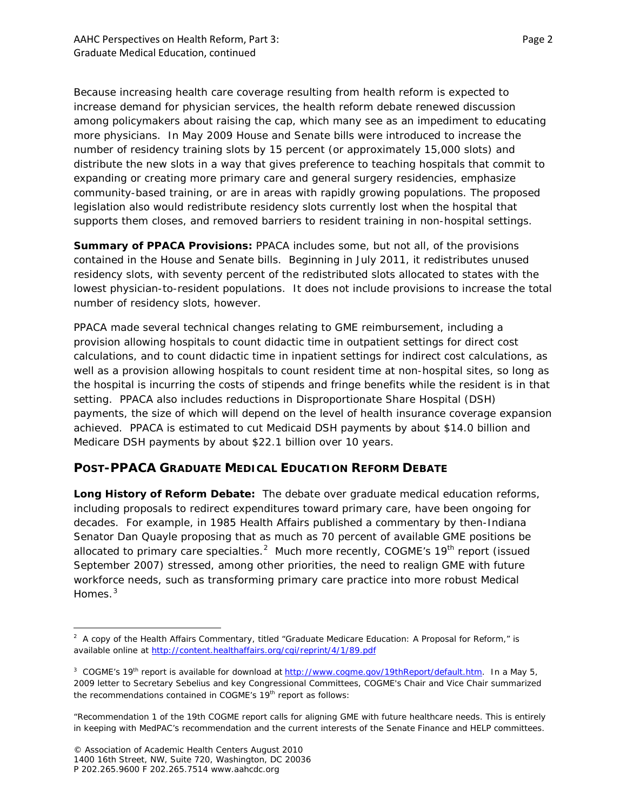Because increasing health care coverage resulting from health reform is expected to increase demand for physician services, the health reform debate renewed discussion among policymakers about raising the cap, which many see as an impediment to educating more physicians. In May 2009 House and Senate bills were introduced to increase the number of residency training slots by 15 percent (or approximately 15,000 slots) and distribute the new slots in a way that gives preference to teaching hospitals that commit to expanding or creating more primary care and general surgery residencies, emphasize community-based training, or are in areas with rapidly growing populations. The proposed legislation also would redistribute residency slots currently lost when the hospital that supports them closes, and removed barriers to resident training in non-hospital settings.

*Summary of PPACA Provisions***:** PPACA includes some, but not all, of the provisions contained in the House and Senate bills. Beginning in July 2011, it redistributes unused residency slots, with seventy percent of the redistributed slots allocated to states with the lowest physician-to-resident populations. It does not include provisions to increase the total number of residency slots, however.

PPACA made several technical changes relating to GME reimbursement, including a provision allowing hospitals to count didactic time in outpatient settings for direct cost calculations, and to count didactic time in inpatient settings for indirect cost calculations, as well as a provision allowing hospitals to count resident time at non-hospital sites, so long as the hospital is incurring the costs of stipends and fringe benefits while the resident is in that setting. PPACA also includes reductions in Disproportionate Share Hospital (DSH) payments, the size of which will depend on the level of health insurance coverage expansion achieved. PPACA is estimated to cut Medicaid DSH payments by about \$14.0 billion and Medicare DSH payments by about \$22.1 billion over 10 years.

#### **POST-PPACA GRADUATE MEDICAL EDUCATION REFORM DEBATE**

*Long History of Reform Debate***:** The debate over graduate medical education reforms, including proposals to redirect expenditures toward primary care, have been ongoing for decades. For example, in 1985 *Health Affairs* published a commentary by then-Indiana Senator Dan Quayle proposing that as much as 70 percent of available GME positions be allocated to primary care specialties.<sup>[2](#page-1-0)</sup> Much more recently, COGME's 19<sup>th</sup> report (issued September 2007) stressed, among other priorities, the need to realign GME with future workforce needs, such as transforming primary care practice into more robust Medical Homes.<sup>[3](#page-1-1)</sup>

l

<span id="page-1-0"></span> $2$  A copy of the Health Affairs Commentary, titled "Graduate Medicare Education: A Proposal for Reform," is available online at<http://content.healthaffairs.org/cgi/reprint/4/1/89.pdf>

<span id="page-1-1"></span><sup>&</sup>lt;sup>3</sup> COGME's 19<sup>th</sup> report is available for download at [http://www.cogme.gov/19thReport/default.htm.](http://www.cogme.gov/19thReport/default.htm) In a May 5, 2009 letter to Secretary Sebelius and key Congressional Committees, COGME's Chair and Vice Chair summarized the recommendations contained in COGME's 19<sup>th</sup> report as follows:

<sup>&</sup>quot;Recommendation 1 of the 19th COGME report calls for aligning GME with future healthcare needs. This is entirely in keeping with MedPAC's recommendation and the current interests of the Senate Finance and HELP committees.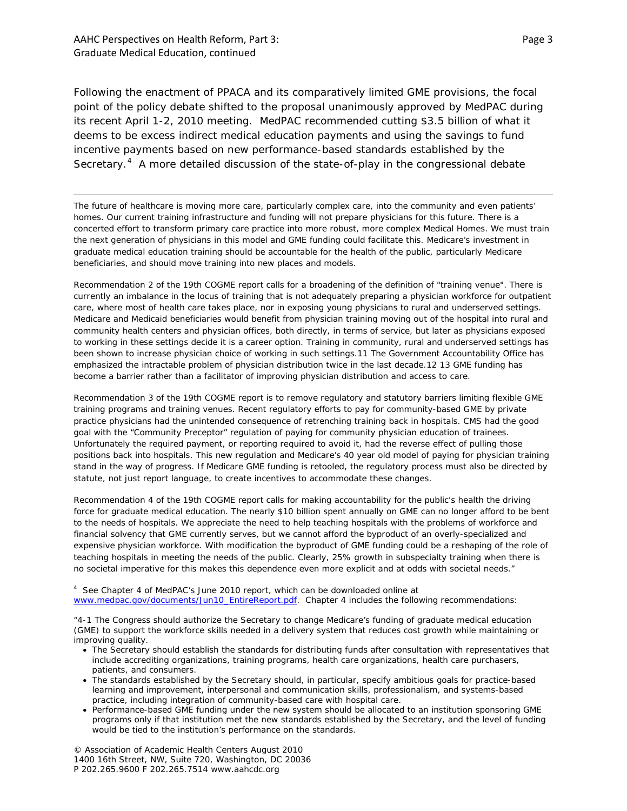l

Following the enactment of PPACA and its comparatively limited GME provisions, the focal point of the policy debate shifted to the proposal unanimously approved by MedPAC during its recent April 1-2, 2010 meeting. MedPAC recommended cutting \$3.5 billion of what it deems to be excess indirect medical education payments and using the savings to fund incentive payments based on new performance-based standards established by the Secretary.<sup>[4](#page-2-0)</sup> A more detailed discussion of the state-of-play in the congressional debate

The future of healthcare is moving more care, particularly complex care, into the community and even patients' homes. Our current training infrastructure and funding will not prepare physicians for this future. There is a concerted effort to transform primary care practice into more robust, more complex Medical Homes. We must train the next generation of physicians in this model and GME funding could facilitate this. Medicare's investment in graduate medical education training should be accountable for the health of the public, particularly Medicare beneficiaries, and should move training into new places and models.

Recommendation 2 of the 19th COGME report calls for a broadening of the definition of "training venue". There is currently an imbalance in the locus of training that is not adequately preparing a physician workforce for outpatient care, where most of health care takes place, nor in exposing young physicians to rural and underserved settings. Medicare and Medicaid beneficiaries would benefit from physician training moving out of the hospital into rural and community health centers and physician offices, both directly, in terms of service, but later as physicians exposed to working in these settings decide it is a career option. Training in community, rural and underserved settings has been shown to increase physician choice of working in such settings.11 The Government Accountability Office has emphasized the intractable problem of physician distribution twice in the last decade.12 13 GME funding has become a barrier rather than a facilitator of improving physician distribution and access to care.

Recommendation 3 of the 19th COGME report is to remove regulatory and statutory barriers limiting flexible GME training programs and training venues. Recent regulatory efforts to pay for community-based GME by private practice physicians had the unintended consequence of retrenching training back in hospitals. CMS had the good goal with the "Community Preceptor" regulation of paying for community physician education of trainees. Unfortunately the required payment, or reporting required to avoid it, had the reverse effect of pulling those positions back into hospitals. This new regulation and Medicare's 40 year old model of paying for physician training stand in the way of progress. If Medicare GME funding is retooled, the regulatory process must also be directed by statute, not just report language, to create incentives to accommodate these changes.

Recommendation 4 of the 19th COGME report calls for making accountability for the public's health the driving force for graduate medical education. The nearly \$10 billion spent annually on GME can no longer afford to be bent to the needs of hospitals. We appreciate the need to help teaching hospitals with the problems of workforce and financial solvency that GME currently serves, but we cannot afford the byproduct of an overly-specialized and expensive physician workforce. With modification the byproduct of GME funding could be a reshaping of the role of teaching hospitals in meeting the needs of the public. Clearly, 25% growth in subspecialty training when there is no societal imperative for this makes this dependence even more explicit and at odds with societal needs."

<span id="page-2-0"></span>4 See Chapter 4 of MedPAC's June 2010 report, which can be downloaded online at [www.medpac.gov/documents/Jun10\\_EntireReport.pdf.](http://www.medpac.gov/documents/Jun10_EntireReport.pdf) Chapter 4 includes the following recommendations:

"4-1 The Congress should authorize the Secretary to change Medicare's funding of graduate medical education (GME) to support the workforce skills needed in a delivery system that reduces cost growth while maintaining or improving quality.

- The Secretary should establish the standards for distributing funds after consultation with representatives that include accrediting organizations, training programs, health care organizations, health care purchasers, patients, and consumers.
- The standards established by the Secretary should, in particular, specify ambitious goals for practice-based learning and improvement, interpersonal and communication skills, professionalism, and systems-based practice, including integration of community-based care with hospital care.
- Performance-based GME funding under the new system should be allocated to an institution sponsoring GME programs only if that institution met the new standards established by the Secretary, and the level of funding would be tied to the institution's performance on the standards.

© Association of Academic Health Centers August 2010 1400 16th Street, NW, Suite 720, Washington, DC 20036 P 202.265.9600 F 202.265.7514 www.aahcdc.org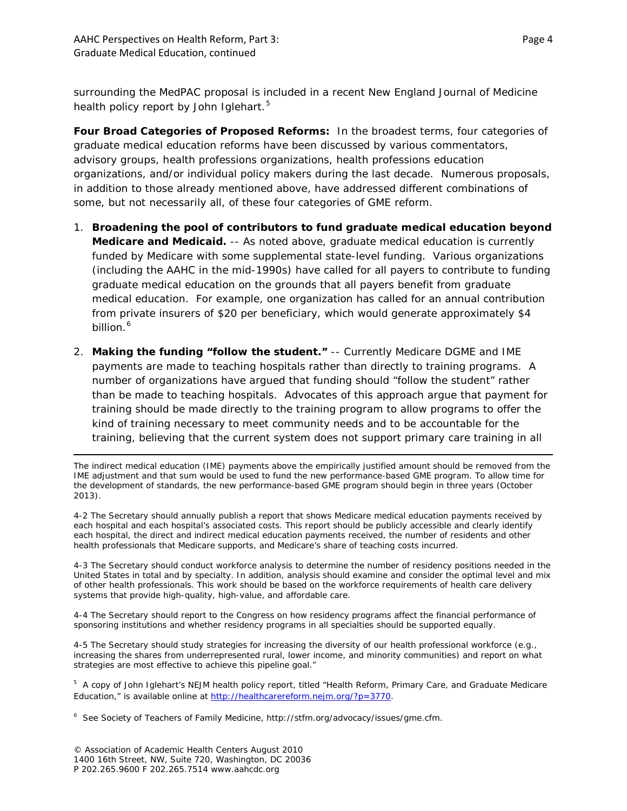surrounding the MedPAC proposal is included in a recent *New England Journal of Medicine* health policy report by John Iglehart.<sup>[5](#page-3-0)</sup>

*Four Broad Categories of Proposed Reforms***:** In the broadest terms, four categories of graduate medical education reforms have been discussed by various commentators, advisory groups, health professions organizations, health professions education organizations, and/or individual policy makers during the last decade. Numerous proposals, in addition to those already mentioned above, have addressed different combinations of some, but not necessarily all, of these four categories of GME reform.

- 1. **Broadening the pool of contributors to fund graduate medical education beyond Medicare and Medicaid.** -- As noted above, graduate medical education is currently funded by Medicare with some supplemental state-level funding. Various organizations (including the AAHC in the mid-1990s) have called for all payers to contribute to funding graduate medical education on the grounds that all payers benefit from graduate medical education. For example, one organization has called for an annual contribution from private insurers of \$20 per beneficiary, which would generate approximately \$4 billion. [6](#page-3-1)
- 2. **Making the funding "follow the student."** -- Currently Medicare DGME and IME payments are made to teaching hospitals rather than directly to training programs. A number of organizations have argued that funding should "follow the student" rather than be made to teaching hospitals. Advocates of this approach argue that payment for training should be made directly to the training program to allow programs to offer the kind of training necessary to meet community needs and to be accountable for the training, believing that the current system does not support primary care training in all

The indirect medical education (IME) payments above the empirically justified amount should be removed from the IME adjustment and that sum would be used to fund the new performance-based GME program. To allow time for the development of standards, the new performance-based GME program should begin in three years (October 2013).

4-2 The Secretary should annually publish a report that shows Medicare medical education payments received by each hospital and each hospital's associated costs. This report should be publicly accessible and clearly identify each hospital, the direct and indirect medical education payments received, the number of residents and other health professionals that Medicare supports, and Medicare's share of teaching costs incurred.

4-3 The Secretary should conduct workforce analysis to determine the number of residency positions needed in the United States in total and by specialty. In addition, analysis should examine and consider the optimal level and mix of other health professionals. This work should be based on the workforce requirements of health care delivery systems that provide high-quality, high-value, and affordable care.

4-4 The Secretary should report to the Congress on how residency programs affect the financial performance of sponsoring institutions and whether residency programs in all specialties should be supported equally.

4-5 The Secretary should study strategies for increasing the diversity of our health professional workforce (e.g., increasing the shares from underrepresented rural, lower income, and minority communities) and report on what strategies are most effective to achieve this pipeline goal."

<span id="page-3-0"></span>5 A copy of John Iglehart's NEJM health policy report, titled "Health Reform, Primary Care, and Graduate Medicare Education," is available online at [http://healthcarereform.nejm.org/?p=3770.](http://healthcarereform.nejm.org/?p=3770)

 $\overline{\phantom{a}}$ 

<span id="page-3-1"></span><sup>6</sup> See Society of Teachers of Family Medicine, http://stfm.org/advocacy/issues/gme.cfm.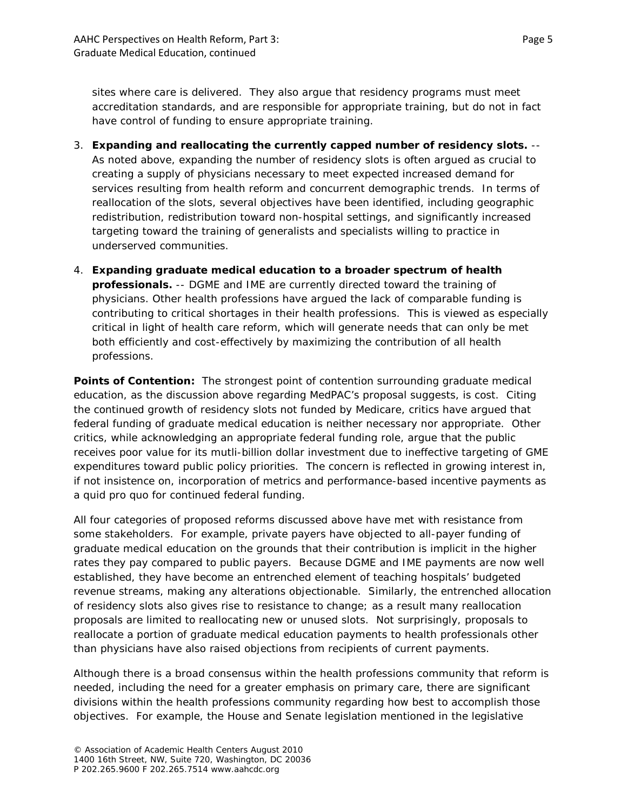sites where care is delivered. They also argue that residency programs must meet accreditation standards, and are responsible for appropriate training, but do not in fact have control of funding to ensure appropriate training.

- 3. **Expanding and reallocating the currently capped number of residency slots.** -- As noted above, expanding the number of residency slots is often argued as crucial to creating a supply of physicians necessary to meet expected increased demand for services resulting from health reform and concurrent demographic trends. In terms of reallocation of the slots, several objectives have been identified, including geographic redistribution, redistribution toward non-hospital settings, and significantly increased targeting toward the training of generalists and specialists willing to practice in underserved communities.
- 4. **Expanding graduate medical education to a broader spectrum of health professionals.** -- DGME and IME are currently directed toward the training of physicians. Other health professions have argued the lack of comparable funding is contributing to critical shortages in their health professions. This is viewed as especially critical in light of health care reform, which will generate needs that can only be met both efficiently and cost-effectively by maximizing the contribution of all health professions.

**Points of Contention:** The strongest point of contention surrounding graduate medical education, as the discussion above regarding MedPAC's proposal suggests, is cost. Citing the continued growth of residency slots not funded by Medicare, critics have argued that federal funding of graduate medical education is neither necessary nor appropriate. Other critics, while acknowledging an appropriate federal funding role, argue that the public receives poor value for its mutli-billion dollar investment due to ineffective targeting of GME expenditures toward public policy priorities. The concern is reflected in growing interest in, if not insistence on, incorporation of metrics and performance-based incentive payments as a quid pro quo for continued federal funding.

All four categories of proposed reforms discussed above have met with resistance from some stakeholders. For example, private payers have objected to all-payer funding of graduate medical education on the grounds that their contribution is implicit in the higher rates they pay compared to public payers. Because DGME and IME payments are now well established, they have become an entrenched element of teaching hospitals' budgeted revenue streams, making any alterations objectionable. Similarly, the entrenched allocation of residency slots also gives rise to resistance to change; as a result many reallocation proposals are limited to reallocating new or unused slots. Not surprisingly, proposals to reallocate a portion of graduate medical education payments to health professionals other than physicians have also raised objections from recipients of current payments.

Although there is a broad consensus within the health professions community that reform is needed, including the need for a greater emphasis on primary care, there are significant divisions within the health professions community regarding how best to accomplish those objectives. For example, the House and Senate legislation mentioned in the legislative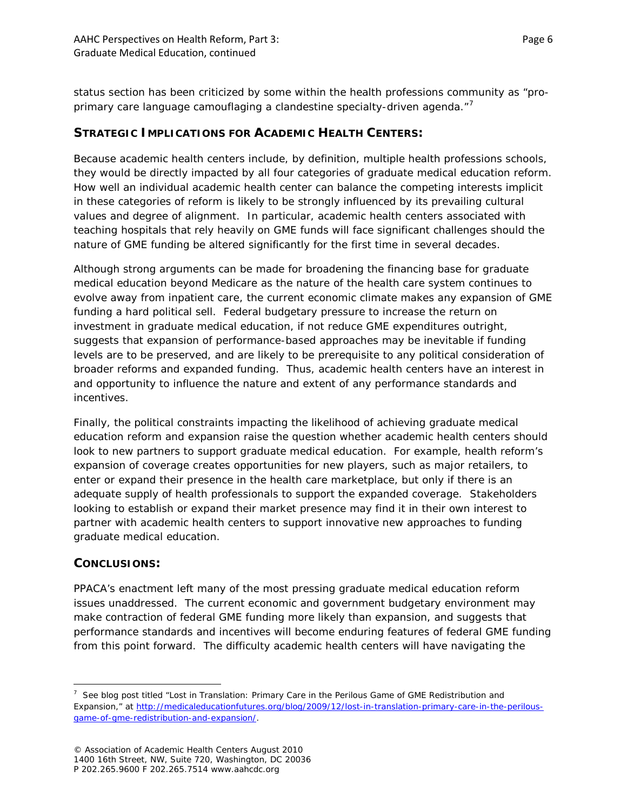status section has been criticized by some within the health professions community as "pro-primary care language camouflaging a clandestine specialty-driven agenda."<sup>[7](#page-5-0)</sup>

## **STRATEGIC IMPLICATIONS FOR ACADEMIC HEALTH CENTERS:**

Because academic health centers include, by definition, multiple health professions schools, they would be directly impacted by all four categories of graduate medical education reform. How well an individual academic health center can balance the competing interests implicit in these categories of reform is likely to be strongly influenced by its prevailing cultural values and degree of alignment. In particular, academic health centers associated with teaching hospitals that rely heavily on GME funds will face significant challenges should the nature of GME funding be altered significantly for the first time in several decades.

Although strong arguments can be made for broadening the financing base for graduate medical education beyond Medicare as the nature of the health care system continues to evolve away from inpatient care, the current economic climate makes any expansion of GME funding a hard political sell. Federal budgetary pressure to increase the return on investment in graduate medical education, if not reduce GME expenditures outright, suggests that expansion of performance-based approaches may be inevitable if funding levels are to be preserved, and are likely to be prerequisite to any political consideration of broader reforms and expanded funding. Thus, academic health centers have an interest in and opportunity to influence the nature and extent of any performance standards and incentives.

Finally, the political constraints impacting the likelihood of achieving graduate medical education reform and expansion raise the question whether academic health centers should look to new partners to support graduate medical education. For example, health reform's expansion of coverage creates opportunities for new players, such as major retailers, to enter or expand their presence in the health care marketplace, but only if there is an adequate supply of health professionals to support the expanded coverage. Stakeholders looking to establish or expand their market presence may find it in their own interest to partner with academic health centers to support innovative new approaches to funding graduate medical education.

### **CONCLUSIONS:**

 $\overline{\phantom{a}}$ 

PPACA's enactment left many of the most pressing graduate medical education reform issues unaddressed. The current economic and government budgetary environment may make contraction of federal GME funding more likely than expansion, and suggests that performance standards and incentives will become enduring features of federal GME funding from this point forward. The difficulty academic health centers will have navigating the

<span id="page-5-0"></span> $7$  See blog post titled "Lost in Translation: Primary Care in the Perilous Game of GME Redistribution and Expansion," at [http://medicaleducationfutures.org/blog/2009/12/lost-in-translation-primary-care-in-the-perilous](http://medicaleducationfutures.org/blog/2009/12/lost-in-translation-primary-care-in-the-perilous-game-of-gme-redistribution-and-expansion/)[game-of-gme-redistribution-and-expansion/.](http://medicaleducationfutures.org/blog/2009/12/lost-in-translation-primary-care-in-the-perilous-game-of-gme-redistribution-and-expansion/)

<sup>©</sup> Association of Academic Health Centers August 2010 1400 16th Street, NW, Suite 720, Washington, DC 20036 P 202.265.9600 F 202.265.7514 www.aahcdc.org